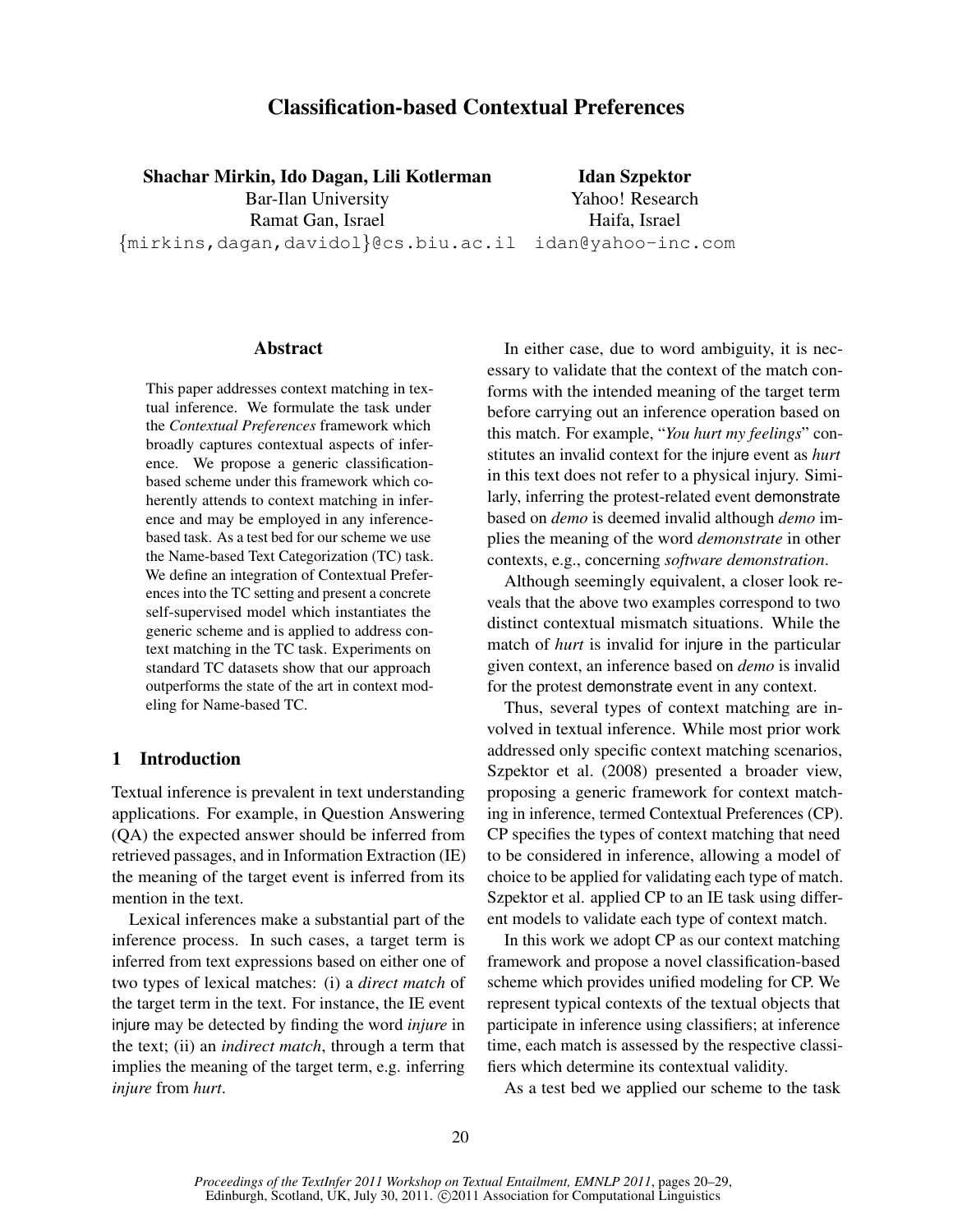# Classification-based Contextual Preferences

Shachar Mirkin, Ido Dagan, Lili Kotlerman Bar-Ilan University Ramat Gan, Israel {mirkins,dagan,davidol}@cs.biu.ac.il idan@yahoo-inc.com

Idan Szpektor Yahoo! Research Haifa, Israel

#### Abstract

This paper addresses context matching in textual inference. We formulate the task under the *Contextual Preferences* framework which broadly captures contextual aspects of inference. We propose a generic classificationbased scheme under this framework which coherently attends to context matching in inference and may be employed in any inferencebased task. As a test bed for our scheme we use the Name-based Text Categorization (TC) task. We define an integration of Contextual Preferences into the TC setting and present a concrete self-supervised model which instantiates the generic scheme and is applied to address context matching in the TC task. Experiments on standard TC datasets show that our approach outperforms the state of the art in context modeling for Name-based TC.

## 1 Introduction

Textual inference is prevalent in text understanding applications. For example, in Question Answering (QA) the expected answer should be inferred from retrieved passages, and in Information Extraction (IE) the meaning of the target event is inferred from its mention in the text.

Lexical inferences make a substantial part of the inference process. In such cases, a target term is inferred from text expressions based on either one of two types of lexical matches: (i) a *direct match* of the target term in the text. For instance, the IE event injure may be detected by finding the word *injure* in the text; (ii) an *indirect match*, through a term that implies the meaning of the target term, e.g. inferring *injure* from *hurt*.

In either case, due to word ambiguity, it is necessary to validate that the context of the match conforms with the intended meaning of the target term before carrying out an inference operation based on this match. For example, "*You hurt my feelings*" constitutes an invalid context for the injure event as *hurt* in this text does not refer to a physical injury. Similarly, inferring the protest-related event demonstrate based on *demo* is deemed invalid although *demo* implies the meaning of the word *demonstrate* in other contexts, e.g., concerning *software demonstration*.

Although seemingly equivalent, a closer look reveals that the above two examples correspond to two distinct contextual mismatch situations. While the match of *hurt* is invalid for injure in the particular given context, an inference based on *demo* is invalid for the protest demonstrate event in any context.

Thus, several types of context matching are involved in textual inference. While most prior work addressed only specific context matching scenarios, Szpektor et al. (2008) presented a broader view, proposing a generic framework for context matching in inference, termed Contextual Preferences (CP). CP specifies the types of context matching that need to be considered in inference, allowing a model of choice to be applied for validating each type of match. Szpektor et al. applied CP to an IE task using different models to validate each type of context match.

In this work we adopt CP as our context matching framework and propose a novel classification-based scheme which provides unified modeling for CP. We represent typical contexts of the textual objects that participate in inference using classifiers; at inference time, each match is assessed by the respective classifiers which determine its contextual validity.

As a test bed we applied our scheme to the task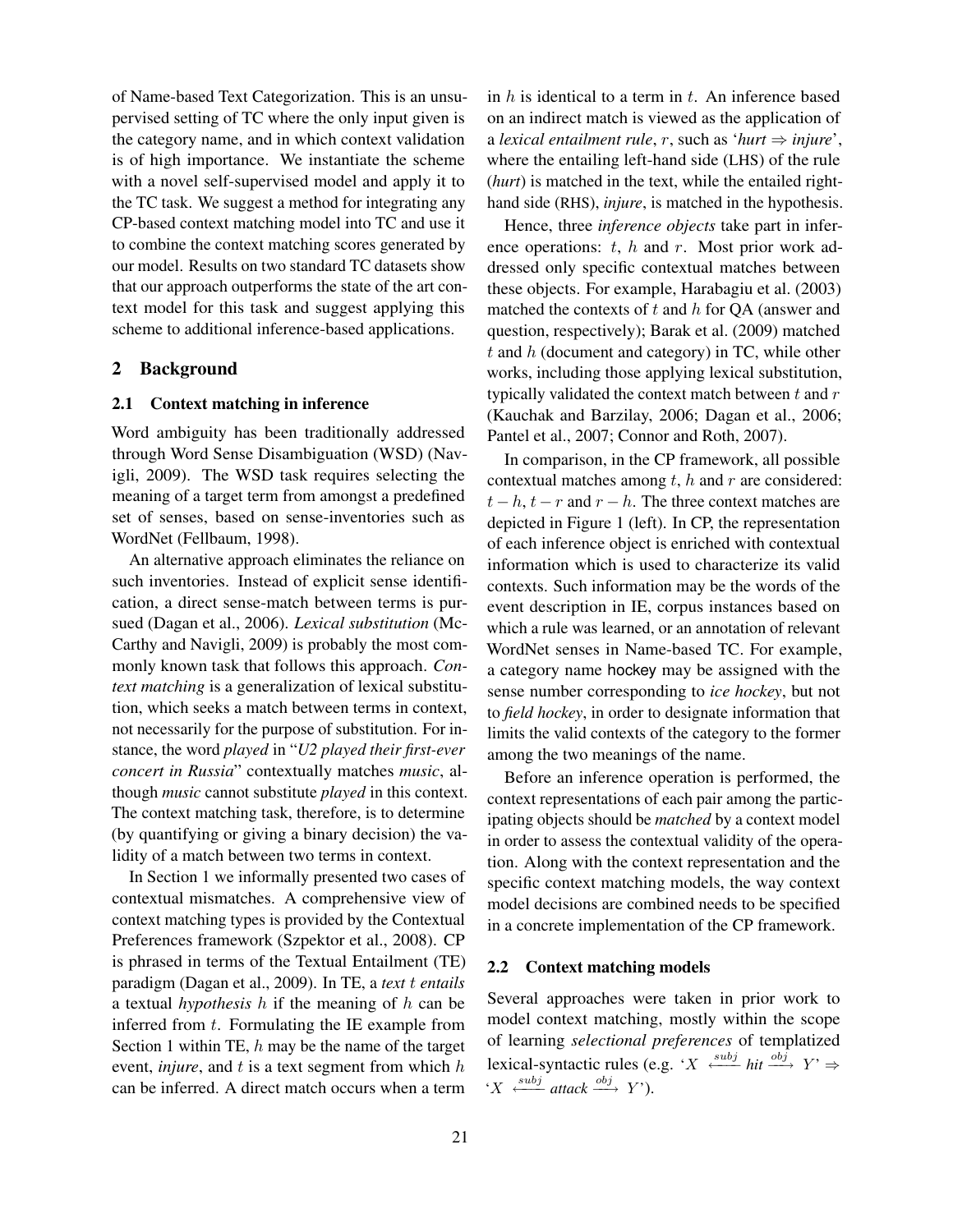of Name-based Text Categorization. This is an unsupervised setting of TC where the only input given is the category name, and in which context validation is of high importance. We instantiate the scheme with a novel self-supervised model and apply it to the TC task. We suggest a method for integrating any CP-based context matching model into TC and use it to combine the context matching scores generated by our model. Results on two standard TC datasets show that our approach outperforms the state of the art context model for this task and suggest applying this scheme to additional inference-based applications.

## 2 Background

# 2.1 Context matching in inference

Word ambiguity has been traditionally addressed through Word Sense Disambiguation (WSD) (Navigli, 2009). The WSD task requires selecting the meaning of a target term from amongst a predefined set of senses, based on sense-inventories such as WordNet (Fellbaum, 1998).

An alternative approach eliminates the reliance on such inventories. Instead of explicit sense identification, a direct sense-match between terms is pursued (Dagan et al., 2006). *Lexical substitution* (Mc-Carthy and Navigli, 2009) is probably the most commonly known task that follows this approach. *Context matching* is a generalization of lexical substitution, which seeks a match between terms in context, not necessarily for the purpose of substitution. For instance, the word *played* in "*U2 played their first-ever concert in Russia*" contextually matches *music*, although *music* cannot substitute *played* in this context. The context matching task, therefore, is to determine (by quantifying or giving a binary decision) the validity of a match between two terms in context.

In Section 1 we informally presented two cases of contextual mismatches. A comprehensive view of context matching types is provided by the Contextual Preferences framework (Szpektor et al., 2008). CP is phrased in terms of the Textual Entailment (TE) paradigm (Dagan et al., 2009). In TE, a *text* t *entails* a textual *hypothesis* h if the meaning of h can be inferred from  $t$ . Formulating the IE example from Section 1 within TE,  $h$  may be the name of the target event, *injure*, and  $t$  is a text segment from which  $h$ can be inferred. A direct match occurs when a term

in  $h$  is identical to a term in  $t$ . An inference based on an indirect match is viewed as the application of a *lexical entailment rule*, r, such as '*hurt* ⇒ *injure*', where the entailing left-hand side (LHS) of the rule (*hurt*) is matched in the text, while the entailed righthand side (RHS), *injure*, is matched in the hypothesis.

Hence, three *inference objects* take part in inference operations:  $t$ ,  $h$  and  $r$ . Most prior work addressed only specific contextual matches between these objects. For example, Harabagiu et al. (2003) matched the contexts of  $t$  and  $h$  for QA (answer and question, respectively); Barak et al. (2009) matched  $t$  and  $h$  (document and category) in TC, while other works, including those applying lexical substitution, typically validated the context match between  $t$  and  $r$ (Kauchak and Barzilay, 2006; Dagan et al., 2006; Pantel et al., 2007; Connor and Roth, 2007).

In comparison, in the CP framework, all possible contextual matches among  $t$ ,  $h$  and  $r$  are considered:  $t - h$ ,  $t - r$  and  $r - h$ . The three context matches are depicted in Figure 1 (left). In CP, the representation of each inference object is enriched with contextual information which is used to characterize its valid contexts. Such information may be the words of the event description in IE, corpus instances based on which a rule was learned, or an annotation of relevant WordNet senses in Name-based TC. For example, a category name hockey may be assigned with the sense number corresponding to *ice hockey*, but not to *field hockey*, in order to designate information that limits the valid contexts of the category to the former among the two meanings of the name.

Before an inference operation is performed, the context representations of each pair among the participating objects should be *matched* by a context model in order to assess the contextual validity of the operation. Along with the context representation and the specific context matching models, the way context model decisions are combined needs to be specified in a concrete implementation of the CP framework.

#### 2.2 Context matching models

Several approaches were taken in prior work to model context matching, mostly within the scope of learning *selectional preferences* of templatized lexical-syntactic rules (e.g. ' $X \xleftrightarrow{subj} hit \xrightarrow{obj} Y' \Rightarrow$  $\cdot X \xrightarrow{\text{subj}} \text{attack} \xrightarrow{\text{obj}} Y$ .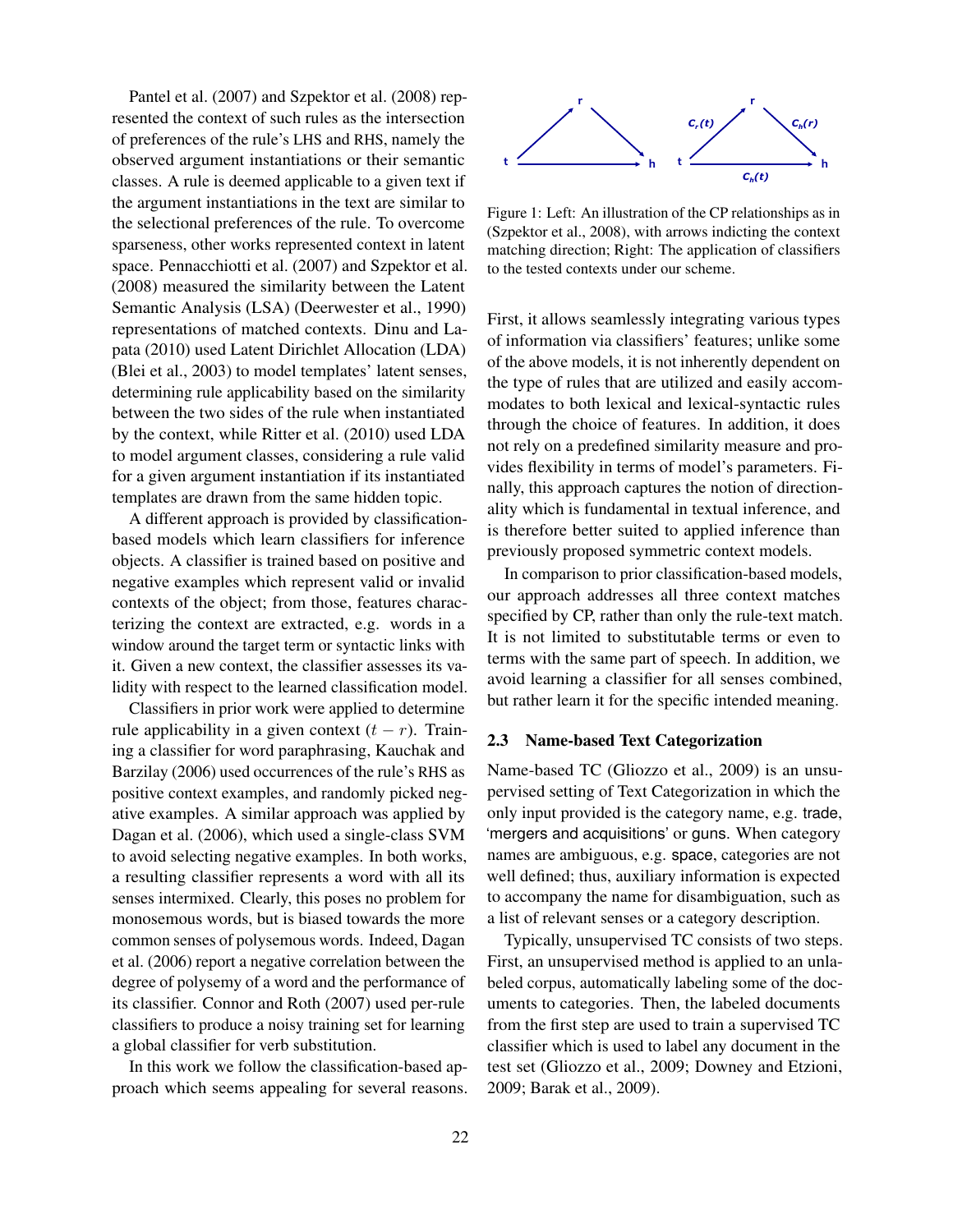Pantel et al. (2007) and Szpektor et al. (2008) represented the context of such rules as the intersection of preferences of the rule's LHS and RHS, namely the observed argument instantiations or their semantic classes. A rule is deemed applicable to a given text if the argument instantiations in the text are similar to the selectional preferences of the rule. To overcome sparseness, other works represented context in latent space. Pennacchiotti et al. (2007) and Szpektor et al. (2008) measured the similarity between the Latent Semantic Analysis (LSA) (Deerwester et al., 1990) representations of matched contexts. Dinu and Lapata (2010) used Latent Dirichlet Allocation (LDA) (Blei et al., 2003) to model templates' latent senses, determining rule applicability based on the similarity between the two sides of the rule when instantiated by the context, while Ritter et al. (2010) used LDA to model argument classes, considering a rule valid for a given argument instantiation if its instantiated templates are drawn from the same hidden topic.

A different approach is provided by classificationbased models which learn classifiers for inference objects. A classifier is trained based on positive and negative examples which represent valid or invalid contexts of the object; from those, features characterizing the context are extracted, e.g. words in a window around the target term or syntactic links with it. Given a new context, the classifier assesses its validity with respect to the learned classification model.

Classifiers in prior work were applied to determine rule applicability in a given context  $(t - r)$ . Training a classifier for word paraphrasing, Kauchak and Barzilay (2006) used occurrences of the rule's RHS as positive context examples, and randomly picked negative examples. A similar approach was applied by Dagan et al. (2006), which used a single-class SVM to avoid selecting negative examples. In both works, a resulting classifier represents a word with all its senses intermixed. Clearly, this poses no problem for monosemous words, but is biased towards the more common senses of polysemous words. Indeed, Dagan et al. (2006) report a negative correlation between the degree of polysemy of a word and the performance of its classifier. Connor and Roth (2007) used per-rule classifiers to produce a noisy training set for learning a global classifier for verb substitution.

In this work we follow the classification-based approach which seems appealing for several reasons.



Figure 1: Left: An illustration of the CP relationships as in (Szpektor et al., 2008), with arrows indicting the context matching direction; Right: The application of classifiers to the tested contexts under our scheme.

First, it allows seamlessly integrating various types of information via classifiers' features; unlike some of the above models, it is not inherently dependent on the type of rules that are utilized and easily accommodates to both lexical and lexical-syntactic rules through the choice of features. In addition, it does not rely on a predefined similarity measure and provides flexibility in terms of model's parameters. Finally, this approach captures the notion of directionality which is fundamental in textual inference, and is therefore better suited to applied inference than previously proposed symmetric context models.

In comparison to prior classification-based models, our approach addresses all three context matches specified by CP, rather than only the rule-text match. It is not limited to substitutable terms or even to terms with the same part of speech. In addition, we avoid learning a classifier for all senses combined, but rather learn it for the specific intended meaning.

## 2.3 Name-based Text Categorization

Name-based TC (Gliozzo et al., 2009) is an unsupervised setting of Text Categorization in which the only input provided is the category name, e.g. trade, 'mergers and acquisitions' or guns. When category names are ambiguous, e.g. space, categories are not well defined; thus, auxiliary information is expected to accompany the name for disambiguation, such as a list of relevant senses or a category description.

Typically, unsupervised TC consists of two steps. First, an unsupervised method is applied to an unlabeled corpus, automatically labeling some of the documents to categories. Then, the labeled documents from the first step are used to train a supervised TC classifier which is used to label any document in the test set (Gliozzo et al., 2009; Downey and Etzioni, 2009; Barak et al., 2009).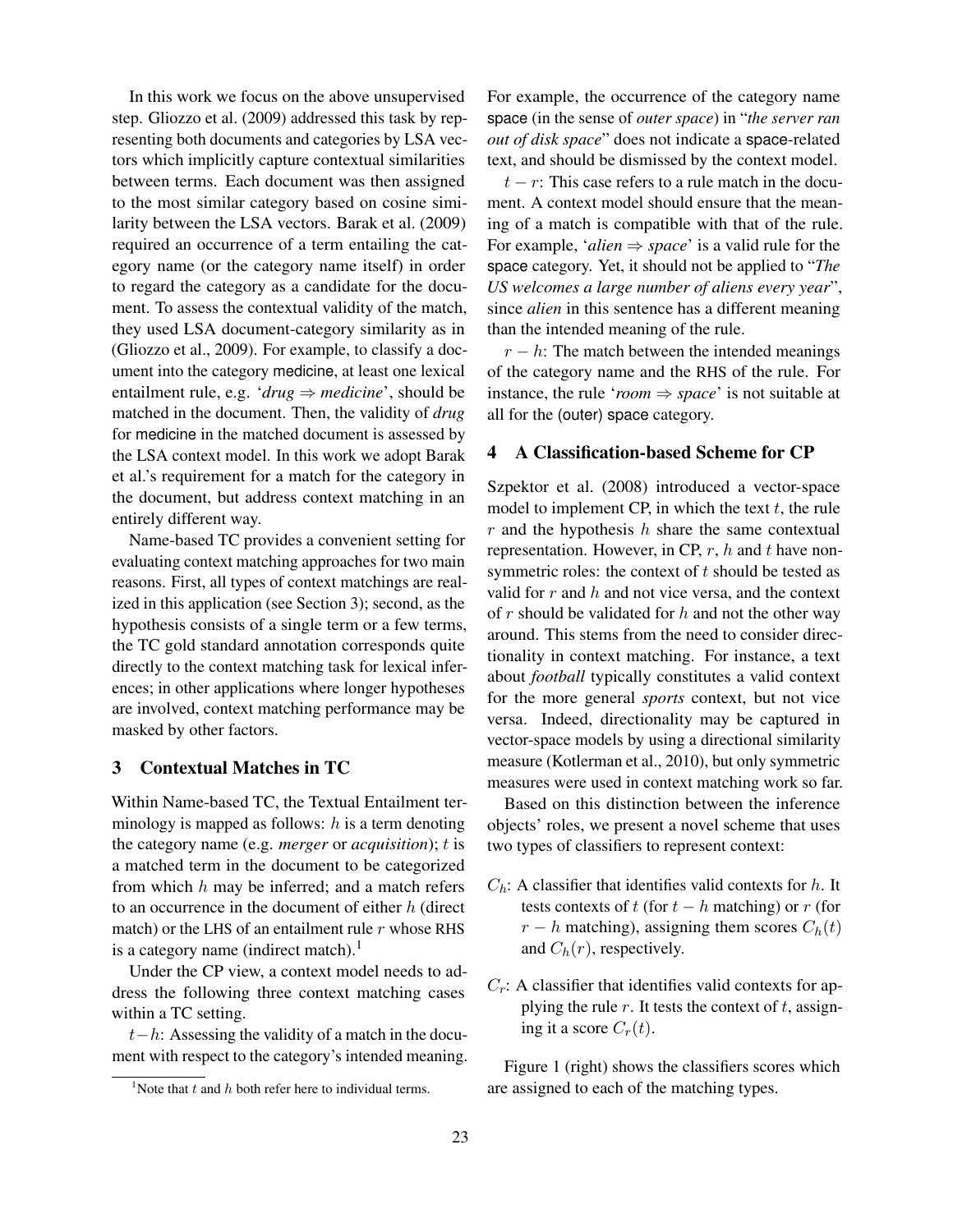In this work we focus on the above unsupervised step. Gliozzo et al. (2009) addressed this task by representing both documents and categories by LSA vectors which implicitly capture contextual similarities between terms. Each document was then assigned to the most similar category based on cosine similarity between the LSA vectors. Barak et al. (2009) required an occurrence of a term entailing the category name (or the category name itself) in order to regard the category as a candidate for the document. To assess the contextual validity of the match, they used LSA document-category similarity as in (Gliozzo et al., 2009). For example, to classify a document into the category medicine, at least one lexical entailment rule, e.g. ' $drug \Rightarrow medicine$ ', should be matched in the document. Then, the validity of *drug* for medicine in the matched document is assessed by the LSA context model. In this work we adopt Barak et al.'s requirement for a match for the category in the document, but address context matching in an entirely different way.

Name-based TC provides a convenient setting for evaluating context matching approaches for two main reasons. First, all types of context matchings are realized in this application (see Section 3); second, as the hypothesis consists of a single term or a few terms, the TC gold standard annotation corresponds quite directly to the context matching task for lexical inferences; in other applications where longer hypotheses are involved, context matching performance may be masked by other factors.

# 3 Contextual Matches in TC

Within Name-based TC, the Textual Entailment terminology is mapped as follows:  $h$  is a term denoting the category name (e.g. *merger* or *acquisition*); t is a matched term in the document to be categorized from which  $h$  may be inferred; and a match refers to an occurrence in the document of either h (direct match) or the LHS of an entailment rule  $r$  whose RHS is a category name (indirect match).<sup>1</sup>

Under the CP view, a context model needs to address the following three context matching cases within a TC setting.

 $t-h$ : Assessing the validity of a match in the document with respect to the category's intended meaning. For example, the occurrence of the category name space (in the sense of *outer space*) in "*the server ran out of disk space*" does not indicate a space-related text, and should be dismissed by the context model.

 $t - r$ : This case refers to a rule match in the document. A context model should ensure that the meaning of a match is compatible with that of the rule. For example, *'alien*  $\Rightarrow$  *space'* is a valid rule for the space category. Yet, it should not be applied to "*The US welcomes a large number of aliens every year*", since *alien* in this sentence has a different meaning than the intended meaning of the rule.

 $r - h$ : The match between the intended meanings of the category name and the RHS of the rule. For instance, the rule '*room* ⇒ *space*' is not suitable at all for the (outer) space category.

# 4 A Classification-based Scheme for CP

Szpektor et al. (2008) introduced a vector-space model to implement CP, in which the text  $t$ , the rule  $r$  and the hypothesis  $h$  share the same contextual representation. However, in CP,  $r$ ,  $h$  and  $t$  have nonsymmetric roles: the context of  $t$  should be tested as valid for  $r$  and  $h$  and not vice versa, and the context of  $r$  should be validated for  $h$  and not the other way around. This stems from the need to consider directionality in context matching. For instance, a text about *football* typically constitutes a valid context for the more general *sports* context, but not vice versa. Indeed, directionality may be captured in vector-space models by using a directional similarity measure (Kotlerman et al., 2010), but only symmetric measures were used in context matching work so far.

Based on this distinction between the inference objects' roles, we present a novel scheme that uses two types of classifiers to represent context:

- $C_h$ : A classifier that identifies valid contexts for h. It tests contexts of t (for  $t - h$  matching) or r (for  $r - h$  matching), assigning them scores  $C_h(t)$ and  $C_h(r)$ , respectively.
- $C_r$ : A classifier that identifies valid contexts for applying the rule  $r$ . It tests the context of  $t$ , assigning it a score  $C_r(t)$ .

Figure 1 (right) shows the classifiers scores which are assigned to each of the matching types.

<sup>&</sup>lt;sup>1</sup>Note that t and h both refer here to individual terms.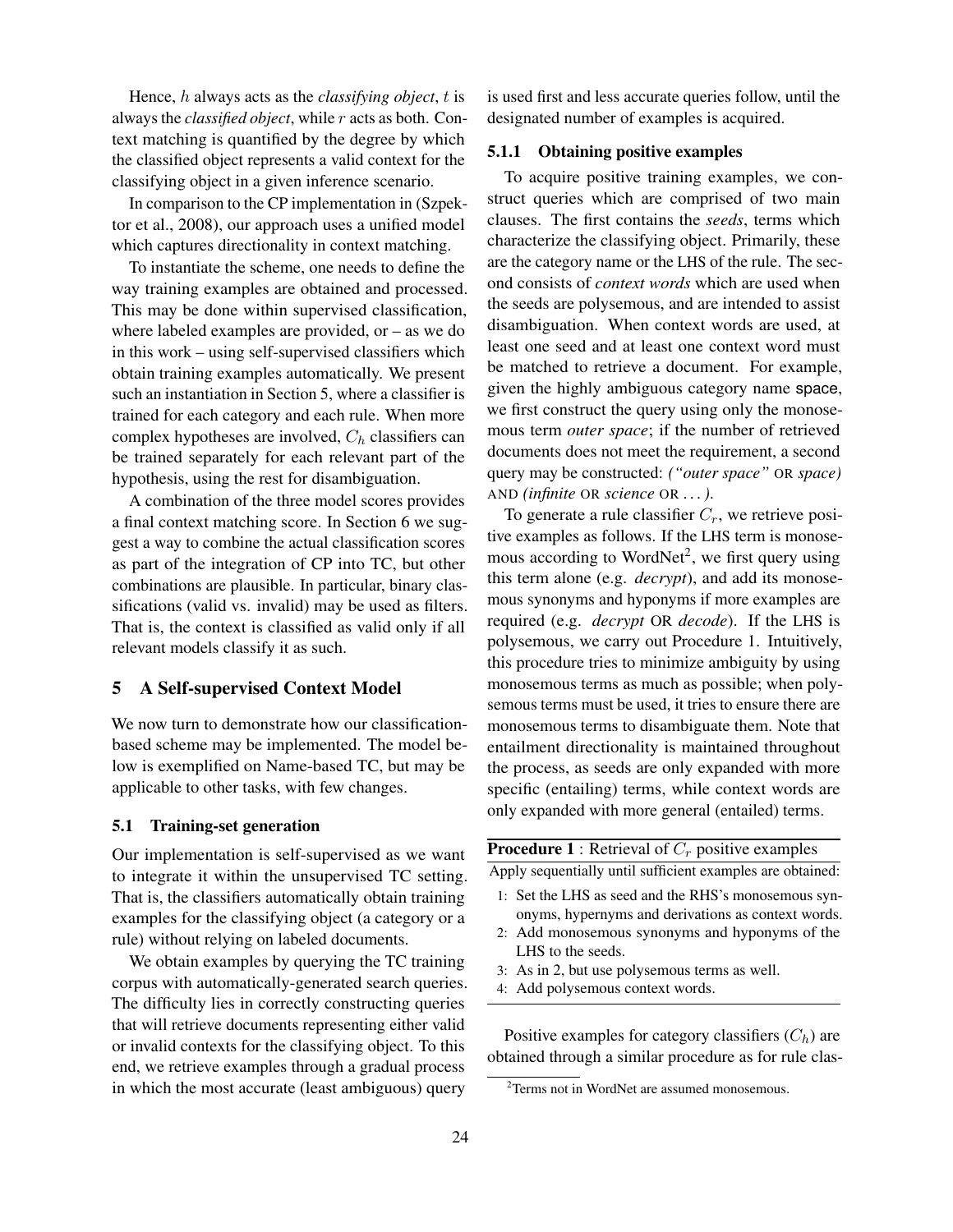Hence, h always acts as the *classifying object*, t is always the *classified object*, while r acts as both. Context matching is quantified by the degree by which the classified object represents a valid context for the classifying object in a given inference scenario.

In comparison to the CP implementation in (Szpektor et al., 2008), our approach uses a unified model which captures directionality in context matching.

To instantiate the scheme, one needs to define the way training examples are obtained and processed. This may be done within supervised classification, where labeled examples are provided,  $or - as we$  do in this work – using self-supervised classifiers which obtain training examples automatically. We present such an instantiation in Section 5, where a classifier is trained for each category and each rule. When more complex hypotheses are involved,  $C_h$  classifiers can be trained separately for each relevant part of the hypothesis, using the rest for disambiguation.

A combination of the three model scores provides a final context matching score. In Section 6 we suggest a way to combine the actual classification scores as part of the integration of CP into TC, but other combinations are plausible. In particular, binary classifications (valid vs. invalid) may be used as filters. That is, the context is classified as valid only if all relevant models classify it as such.

# 5 A Self-supervised Context Model

We now turn to demonstrate how our classificationbased scheme may be implemented. The model below is exemplified on Name-based TC, but may be applicable to other tasks, with few changes.

#### 5.1 Training-set generation

Our implementation is self-supervised as we want to integrate it within the unsupervised TC setting. That is, the classifiers automatically obtain training examples for the classifying object (a category or a rule) without relying on labeled documents.

We obtain examples by querying the TC training corpus with automatically-generated search queries. The difficulty lies in correctly constructing queries that will retrieve documents representing either valid or invalid contexts for the classifying object. To this end, we retrieve examples through a gradual process in which the most accurate (least ambiguous) query

is used first and less accurate queries follow, until the designated number of examples is acquired.

## 5.1.1 Obtaining positive examples

To acquire positive training examples, we construct queries which are comprised of two main clauses. The first contains the *seeds*, terms which characterize the classifying object. Primarily, these are the category name or the LHS of the rule. The second consists of *context words* which are used when the seeds are polysemous, and are intended to assist disambiguation. When context words are used, at least one seed and at least one context word must be matched to retrieve a document. For example, given the highly ambiguous category name space, we first construct the query using only the monosemous term *outer space*; if the number of retrieved documents does not meet the requirement, a second query may be constructed: *("outer space"* OR *space)* AND *(infinite* OR *science* OR *. . . )*.

To generate a rule classifier  $C_r$ , we retrieve positive examples as follows. If the LHS term is monosemous according to WordNet<sup>2</sup>, we first query using this term alone (e.g. *decrypt*), and add its monosemous synonyms and hyponyms if more examples are required (e.g. *decrypt* OR *decode*). If the LHS is polysemous, we carry out Procedure 1. Intuitively, this procedure tries to minimize ambiguity by using monosemous terms as much as possible; when polysemous terms must be used, it tries to ensure there are monosemous terms to disambiguate them. Note that entailment directionality is maintained throughout the process, as seeds are only expanded with more specific (entailing) terms, while context words are only expanded with more general (entailed) terms.

|  |  |  |  | <b>Procedure 1</b> : Retrieval of $C_r$ positive examples |  |
|--|--|--|--|-----------------------------------------------------------|--|
|  |  |  |  |                                                           |  |

Apply sequentially until sufficient examples are obtained:

- 1: Set the LHS as seed and the RHS's monosemous synonyms, hypernyms and derivations as context words.
- 2: Add monosemous synonyms and hyponyms of the LHS to the seeds.
- 3: As in 2, but use polysemous terms as well.
- 4: Add polysemous context words.

Positive examples for category classifiers  $(C_h)$  are obtained through a similar procedure as for rule clas-

 $2$ Terms not in WordNet are assumed monosemous.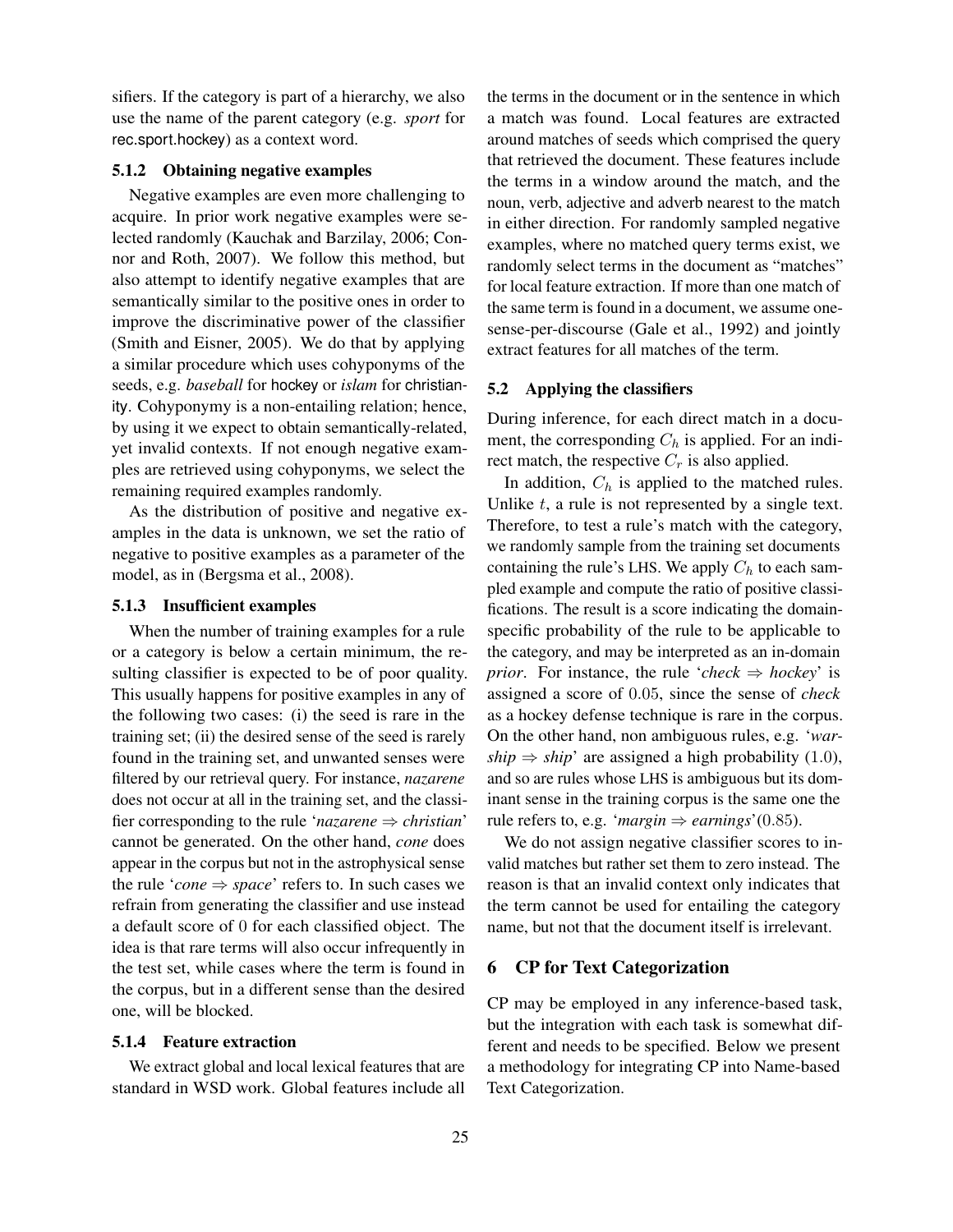sifiers. If the category is part of a hierarchy, we also use the name of the parent category (e.g. *sport* for rec.sport.hockey) as a context word.

#### 5.1.2 Obtaining negative examples

Negative examples are even more challenging to acquire. In prior work negative examples were selected randomly (Kauchak and Barzilay, 2006; Connor and Roth, 2007). We follow this method, but also attempt to identify negative examples that are semantically similar to the positive ones in order to improve the discriminative power of the classifier (Smith and Eisner, 2005). We do that by applying a similar procedure which uses cohyponyms of the seeds, e.g. *baseball* for hockey or *islam* for christianity. Cohyponymy is a non-entailing relation; hence, by using it we expect to obtain semantically-related, yet invalid contexts. If not enough negative examples are retrieved using cohyponyms, we select the remaining required examples randomly.

As the distribution of positive and negative examples in the data is unknown, we set the ratio of negative to positive examples as a parameter of the model, as in (Bergsma et al., 2008).

## 5.1.3 Insufficient examples

When the number of training examples for a rule or a category is below a certain minimum, the resulting classifier is expected to be of poor quality. This usually happens for positive examples in any of the following two cases: (i) the seed is rare in the training set; (ii) the desired sense of the seed is rarely found in the training set, and unwanted senses were filtered by our retrieval query. For instance, *nazarene* does not occur at all in the training set, and the classifier corresponding to the rule '*nazarene* ⇒ *christian*' cannot be generated. On the other hand, *cone* does appear in the corpus but not in the astrophysical sense the rule '*cone*  $\Rightarrow$  *space*' refers to. In such cases we refrain from generating the classifier and use instead a default score of 0 for each classified object. The idea is that rare terms will also occur infrequently in the test set, while cases where the term is found in the corpus, but in a different sense than the desired one, will be blocked.

## 5.1.4 Feature extraction

We extract global and local lexical features that are standard in WSD work. Global features include all the terms in the document or in the sentence in which a match was found. Local features are extracted around matches of seeds which comprised the query that retrieved the document. These features include the terms in a window around the match, and the noun, verb, adjective and adverb nearest to the match in either direction. For randomly sampled negative examples, where no matched query terms exist, we randomly select terms in the document as "matches" for local feature extraction. If more than one match of the same term is found in a document, we assume onesense-per-discourse (Gale et al., 1992) and jointly extract features for all matches of the term.

#### 5.2 Applying the classifiers

During inference, for each direct match in a document, the corresponding  $C_h$  is applied. For an indirect match, the respective  $C_r$  is also applied.

In addition,  $C_h$  is applied to the matched rules. Unlike  $t$ , a rule is not represented by a single text. Therefore, to test a rule's match with the category, we randomly sample from the training set documents containing the rule's LHS. We apply  $C_h$  to each sampled example and compute the ratio of positive classifications. The result is a score indicating the domainspecific probability of the rule to be applicable to the category, and may be interpreted as an in-domain *prior.* For instance, the rule '*check*  $\Rightarrow$  *hockey*' is assigned a score of 0.05, since the sense of *check* as a hockey defense technique is rare in the corpus. On the other hand, non ambiguous rules, e.g. '*warship*  $\Rightarrow$  *ship*' are assigned a high probability (1.0), and so are rules whose LHS is ambiguous but its dominant sense in the training corpus is the same one the rule refers to, e.g. '*margin*  $\Rightarrow$  *earnings*'(0.85).

We do not assign negative classifier scores to invalid matches but rather set them to zero instead. The reason is that an invalid context only indicates that the term cannot be used for entailing the category name, but not that the document itself is irrelevant.

## 6 CP for Text Categorization

CP may be employed in any inference-based task, but the integration with each task is somewhat different and needs to be specified. Below we present a methodology for integrating CP into Name-based Text Categorization.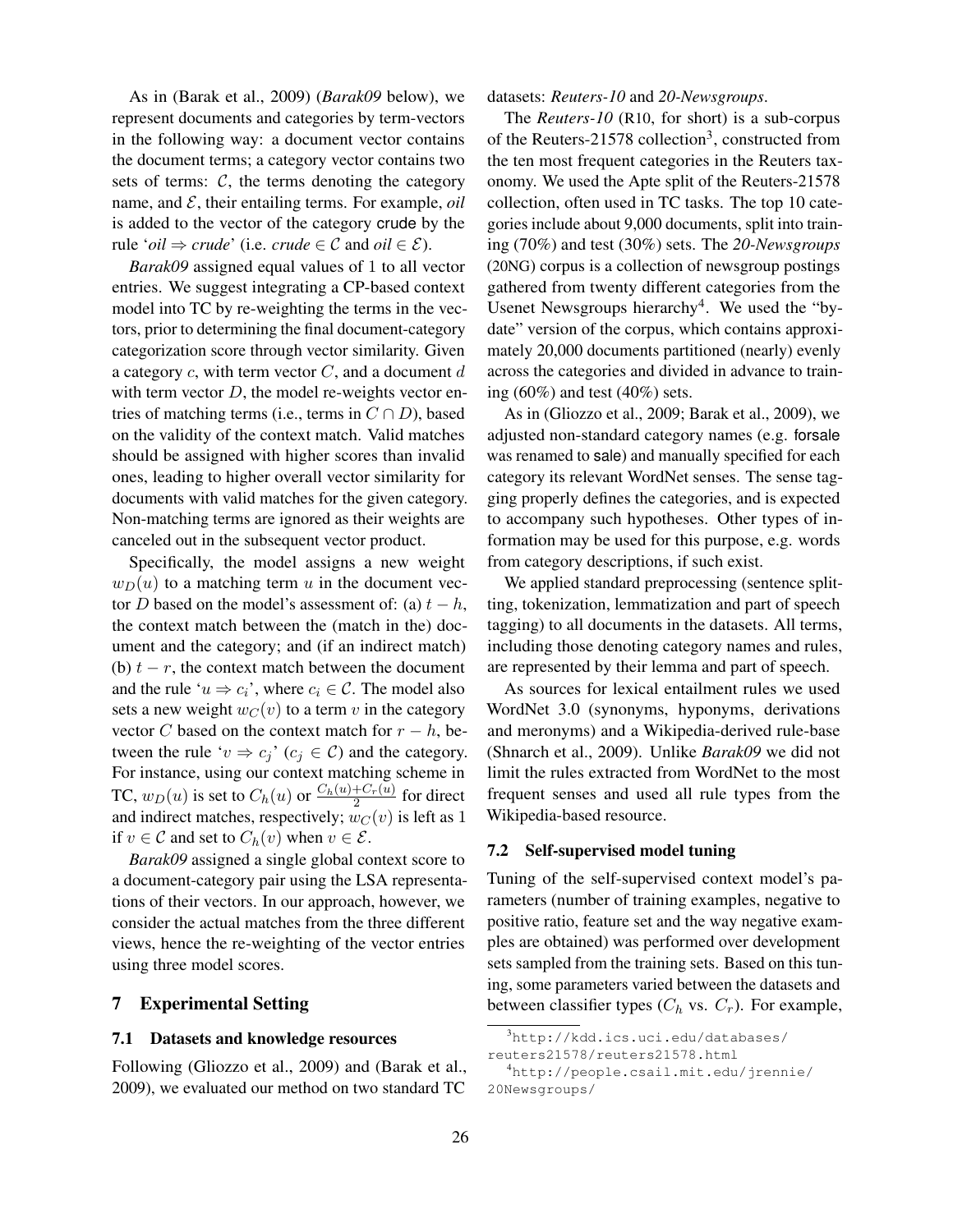As in (Barak et al., 2009) (*Barak09* below), we represent documents and categories by term-vectors in the following way: a document vector contains the document terms; a category vector contains two sets of terms:  $C$ , the terms denoting the category name, and  $\mathcal{E}$ , their entailing terms. For example, *oil* is added to the vector of the category crude by the rule '*oil*  $\Rightarrow$  *crude*' (i.e. *crude*  $\in \mathcal{C}$  and *oil*  $\in \mathcal{E}$ ).

*Barak09* assigned equal values of 1 to all vector entries. We suggest integrating a CP-based context model into TC by re-weighting the terms in the vectors, prior to determining the final document-category categorization score through vector similarity. Given a category  $c$ , with term vector  $C$ , and a document  $d$ with term vector  $D$ , the model re-weights vector entries of matching terms (i.e., terms in  $C \cap D$ ), based on the validity of the context match. Valid matches should be assigned with higher scores than invalid ones, leading to higher overall vector similarity for documents with valid matches for the given category. Non-matching terms are ignored as their weights are canceled out in the subsequent vector product.

Specifically, the model assigns a new weight  $w_D(u)$  to a matching term u in the document vector D based on the model's assessment of: (a)  $t - h$ , the context match between the (match in the) document and the category; and (if an indirect match) (b)  $t - r$ , the context match between the document and the rule ' $u \Rightarrow c_i$ ', where  $c_i \in \mathcal{C}$ . The model also sets a new weight  $w_C(v)$  to a term v in the category vector C based on the context match for  $r - h$ , between the rule ' $v \Rightarrow c_j$ ' ( $c_j \in C$ ) and the category. For instance, using our context matching scheme in TC,  $w_D(u)$  is set to  $C_h(u)$  or  $\frac{C_h(u) + C_r(u)}{2}$  $rac{+C_r(u)}{2}$  for direct and indirect matches, respectively;  $w_C(v)$  is left as 1 if  $v \in \mathcal{C}$  and set to  $C_h(v)$  when  $v \in \mathcal{E}$ .

*Barak09* assigned a single global context score to a document-category pair using the LSA representations of their vectors. In our approach, however, we consider the actual matches from the three different views, hence the re-weighting of the vector entries using three model scores.

# 7 Experimental Setting

#### 7.1 Datasets and knowledge resources

Following (Gliozzo et al., 2009) and (Barak et al., 2009), we evaluated our method on two standard TC

datasets: *Reuters-10* and *20-Newsgroups*.

The *Reuters-10* (R10, for short) is a sub-corpus of the Reuters-21578 collection<sup>3</sup>, constructed from the ten most frequent categories in the Reuters taxonomy. We used the Apte split of the Reuters-21578 collection, often used in TC tasks. The top 10 categories include about 9,000 documents, split into training (70%) and test (30%) sets. The *20-Newsgroups* (20NG) corpus is a collection of newsgroup postings gathered from twenty different categories from the Usenet Newsgroups hierarchy<sup>4</sup>. We used the "bydate" version of the corpus, which contains approximately 20,000 documents partitioned (nearly) evenly across the categories and divided in advance to training  $(60\%)$  and test  $(40\%)$  sets.

As in (Gliozzo et al., 2009; Barak et al., 2009), we adjusted non-standard category names (e.g. forsale was renamed to sale) and manually specified for each category its relevant WordNet senses. The sense tagging properly defines the categories, and is expected to accompany such hypotheses. Other types of information may be used for this purpose, e.g. words from category descriptions, if such exist.

We applied standard preprocessing (sentence splitting, tokenization, lemmatization and part of speech tagging) to all documents in the datasets. All terms, including those denoting category names and rules, are represented by their lemma and part of speech.

As sources for lexical entailment rules we used WordNet 3.0 (synonyms, hyponyms, derivations and meronyms) and a Wikipedia-derived rule-base (Shnarch et al., 2009). Unlike *Barak09* we did not limit the rules extracted from WordNet to the most frequent senses and used all rule types from the Wikipedia-based resource.

#### 7.2 Self-supervised model tuning

Tuning of the self-supervised context model's parameters (number of training examples, negative to positive ratio, feature set and the way negative examples are obtained) was performed over development sets sampled from the training sets. Based on this tuning, some parameters varied between the datasets and between classifier types  $(C_h$  vs.  $C_r$ ). For example,

<sup>3</sup>http://kdd.ics.uci.edu/databases/ reuters21578/reuters21578.html

<sup>4</sup>http://people.csail.mit.edu/jrennie/ 20Newsgroups/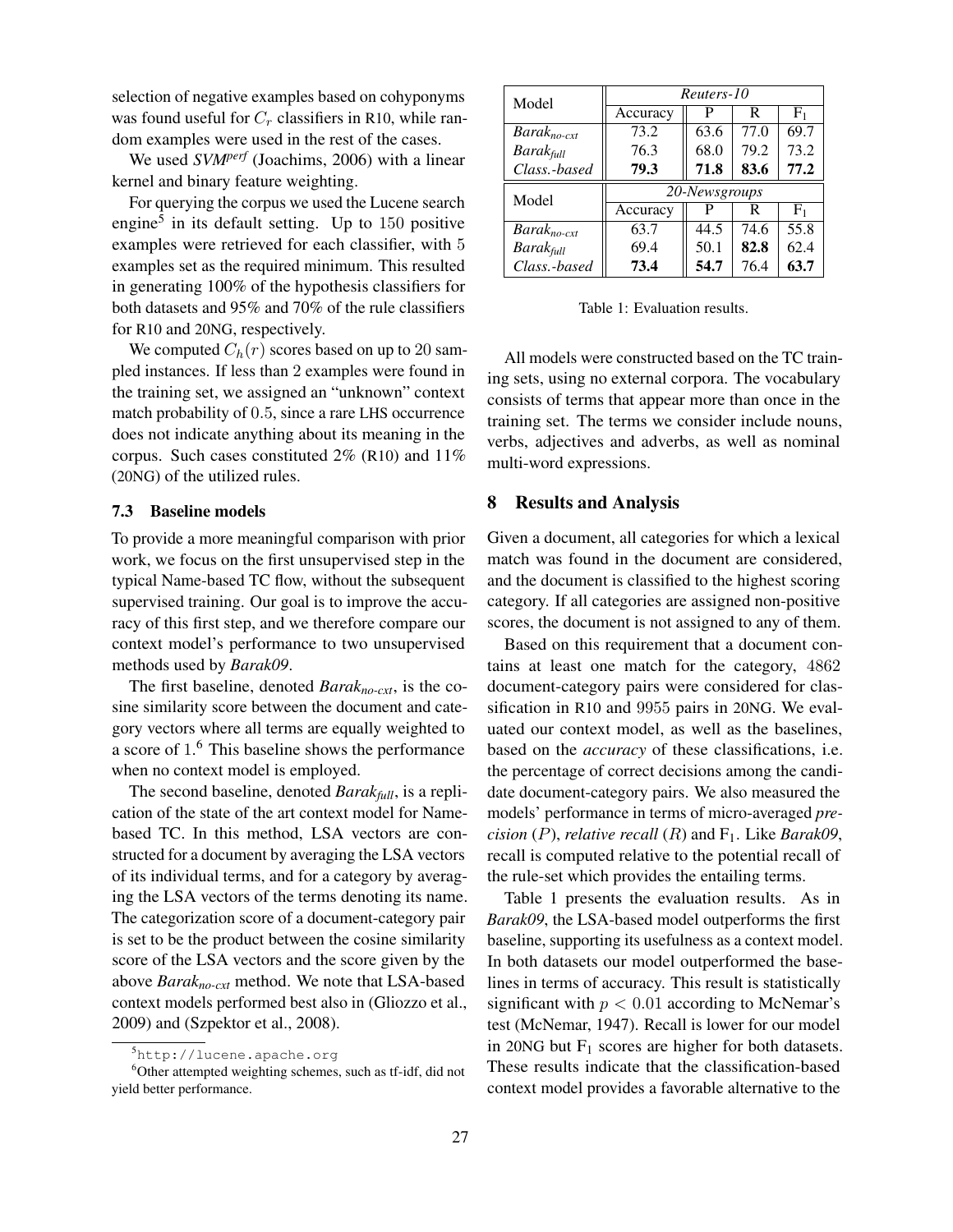selection of negative examples based on cohyponyms was found useful for  $C_r$  classifiers in R10, while random examples were used in the rest of the cases.

We used *SVMperf* (Joachims, 2006) with a linear kernel and binary feature weighting.

For querying the corpus we used the Lucene search engine<sup>5</sup> in its default setting. Up to  $150$  positive examples were retrieved for each classifier, with 5 examples set as the required minimum. This resulted in generating 100% of the hypothesis classifiers for both datasets and 95% and 70% of the rule classifiers for R10 and 20NG, respectively.

We computed  $C_h(r)$  scores based on up to 20 sampled instances. If less than 2 examples were found in the training set, we assigned an "unknown" context match probability of 0.5, since a rare LHS occurrence does not indicate anything about its meaning in the corpus. Such cases constituted 2% (R10) and 11% (20NG) of the utilized rules.

## 7.3 Baseline models

To provide a more meaningful comparison with prior work, we focus on the first unsupervised step in the typical Name-based TC flow, without the subsequent supervised training. Our goal is to improve the accuracy of this first step, and we therefore compare our context model's performance to two unsupervised methods used by *Barak09*.

The first baseline, denoted *Barakno-cxt*, is the cosine similarity score between the document and category vectors where all terms are equally weighted to a score of 1.<sup>6</sup> This baseline shows the performance when no context model is employed.

The second baseline, denoted *Barakfull*, is a replication of the state of the art context model for Namebased TC. In this method, LSA vectors are constructed for a document by averaging the LSA vectors of its individual terms, and for a category by averaging the LSA vectors of the terms denoting its name. The categorization score of a document-category pair is set to be the product between the cosine similarity score of the LSA vectors and the score given by the above *Barakno-cxt* method. We note that LSA-based context models performed best also in (Gliozzo et al., 2009) and (Szpektor et al., 2008).

| Model                   | Reuters-10    |      |      |                |  |  |
|-------------------------|---------------|------|------|----------------|--|--|
|                         | Accuracy      | P    | R    | F <sub>1</sub> |  |  |
| $Barak_{no-ext}$        | 73.2          | 63.6 | 77.0 | 69.7           |  |  |
| <b>Barak</b> full       | 76.3          | 68.0 | 79.2 | 73.2           |  |  |
| Class.-based            | 79.3          | 71.8 | 83.6 | 77.2           |  |  |
| Model                   | 20-Newsgroups |      |      |                |  |  |
|                         | Accuracy      | P    | R    | $F_1$          |  |  |
| $Barak_{no\text{-}ext}$ | 63.7          | 44.5 | 74.6 | 55.8           |  |  |
| <b>Barak</b> full       | 69.4          | 50.1 | 82.8 | 62.4           |  |  |
| Class.-based            | 73.4          | 54.7 | 76.4 | 63.7           |  |  |

Table 1: Evaluation results.

All models were constructed based on the TC training sets, using no external corpora. The vocabulary consists of terms that appear more than once in the training set. The terms we consider include nouns, verbs, adjectives and adverbs, as well as nominal multi-word expressions.

## 8 Results and Analysis

Given a document, all categories for which a lexical match was found in the document are considered, and the document is classified to the highest scoring category. If all categories are assigned non-positive scores, the document is not assigned to any of them.

Based on this requirement that a document contains at least one match for the category, 4862 document-category pairs were considered for classification in R10 and 9955 pairs in 20NG. We evaluated our context model, as well as the baselines, based on the *accuracy* of these classifications, i.e. the percentage of correct decisions among the candidate document-category pairs. We also measured the models' performance in terms of micro-averaged *precision* (P), *relative recall* (R) and  $F_1$ . Like *Barak09*, recall is computed relative to the potential recall of the rule-set which provides the entailing terms.

Table 1 presents the evaluation results. As in *Barak09*, the LSA-based model outperforms the first baseline, supporting its usefulness as a context model. In both datasets our model outperformed the baselines in terms of accuracy. This result is statistically significant with  $p < 0.01$  according to McNemar's test (McNemar, 1947). Recall is lower for our model in 20NG but  $F_1$  scores are higher for both datasets. These results indicate that the classification-based context model provides a favorable alternative to the

<sup>5</sup>http://lucene.apache.org

<sup>&</sup>lt;sup>6</sup>Other attempted weighting schemes, such as tf-idf, did not yield better performance.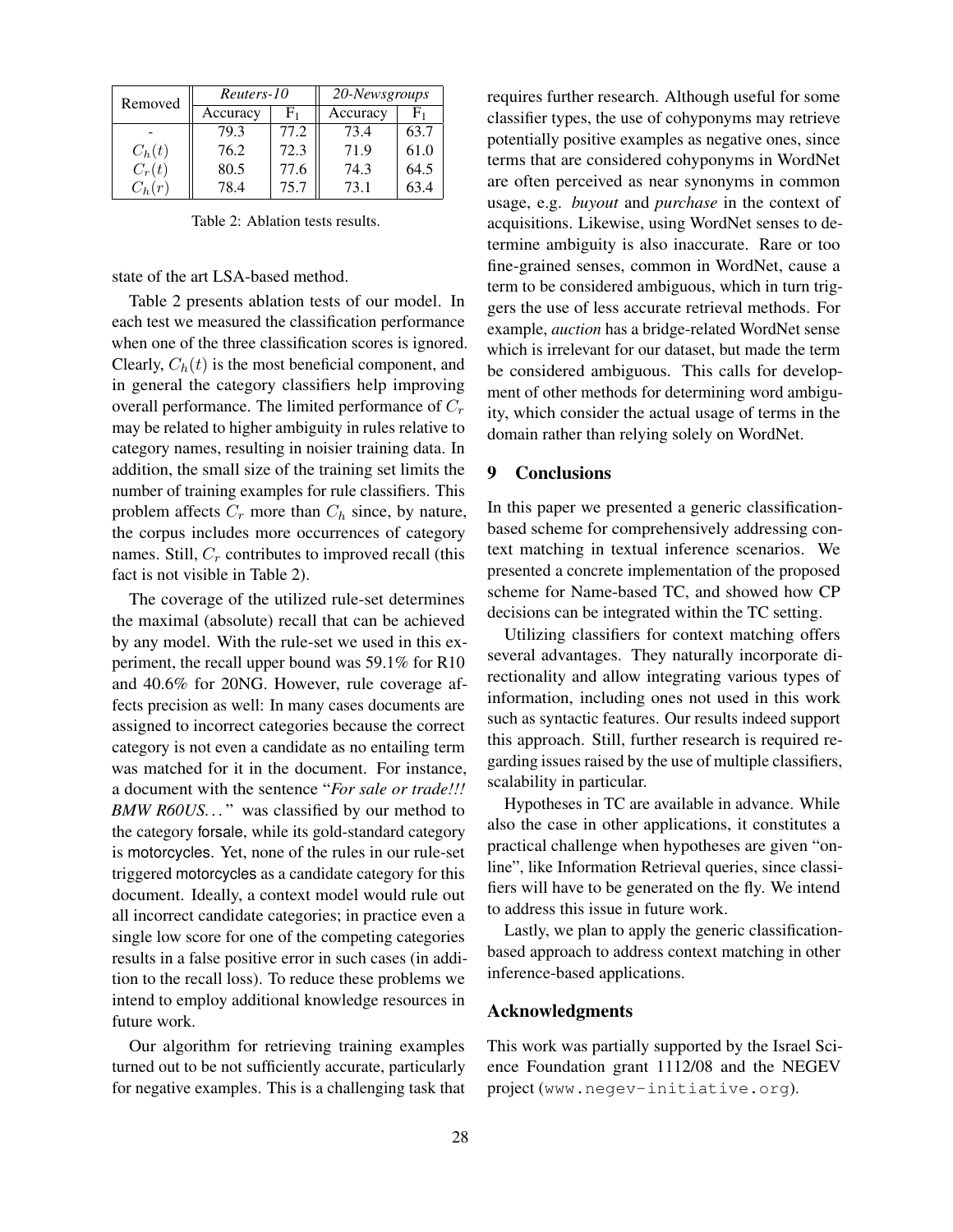| Removed  | Reuters-10 |                     | 20-Newsgroups |      |  |
|----------|------------|---------------------|---------------|------|--|
|          | Accuracy   | $F_{1}$<br>Accuracy |               | F1   |  |
|          | 79.3       | 77.2                | 73.4          | 63.7 |  |
| $C_h(t)$ | 76.2       | 72.3                | 71.9          | 61.0 |  |
| $C_r(t)$ | 80.5       | 77.6                | 74.3          | 64.5 |  |
|          | 78.4       | 75.7                | 73.1          | 63.4 |  |

Table 2: Ablation tests results.

state of the art LSA-based method.

Table 2 presents ablation tests of our model. In each test we measured the classification performance when one of the three classification scores is ignored. Clearly,  $C_h(t)$  is the most beneficial component, and in general the category classifiers help improving overall performance. The limited performance of  $C_r$ may be related to higher ambiguity in rules relative to category names, resulting in noisier training data. In addition, the small size of the training set limits the number of training examples for rule classifiers. This problem affects  $C_r$  more than  $C_h$  since, by nature, the corpus includes more occurrences of category names. Still,  $C_r$  contributes to improved recall (this fact is not visible in Table 2).

The coverage of the utilized rule-set determines the maximal (absolute) recall that can be achieved by any model. With the rule-set we used in this experiment, the recall upper bound was 59.1% for R10 and 40.6% for 20NG. However, rule coverage affects precision as well: In many cases documents are assigned to incorrect categories because the correct category is not even a candidate as no entailing term was matched for it in the document. For instance, a document with the sentence "*For sale or trade!!! BMW R60US...*" was classified by our method to the category forsale, while its gold-standard category is motorcycles. Yet, none of the rules in our rule-set triggered motorcycles as a candidate category for this document. Ideally, a context model would rule out all incorrect candidate categories; in practice even a single low score for one of the competing categories results in a false positive error in such cases (in addition to the recall loss). To reduce these problems we intend to employ additional knowledge resources in future work.

Our algorithm for retrieving training examples turned out to be not sufficiently accurate, particularly for negative examples. This is a challenging task that requires further research. Although useful for some classifier types, the use of cohyponyms may retrieve potentially positive examples as negative ones, since terms that are considered cohyponyms in WordNet are often perceived as near synonyms in common usage, e.g. *buyout* and *purchase* in the context of acquisitions. Likewise, using WordNet senses to determine ambiguity is also inaccurate. Rare or too fine-grained senses, common in WordNet, cause a term to be considered ambiguous, which in turn triggers the use of less accurate retrieval methods. For example, *auction* has a bridge-related WordNet sense which is irrelevant for our dataset, but made the term be considered ambiguous. This calls for development of other methods for determining word ambiguity, which consider the actual usage of terms in the domain rather than relying solely on WordNet.

#### 9 Conclusions

In this paper we presented a generic classificationbased scheme for comprehensively addressing context matching in textual inference scenarios. We presented a concrete implementation of the proposed scheme for Name-based TC, and showed how CP decisions can be integrated within the TC setting.

Utilizing classifiers for context matching offers several advantages. They naturally incorporate directionality and allow integrating various types of information, including ones not used in this work such as syntactic features. Our results indeed support this approach. Still, further research is required regarding issues raised by the use of multiple classifiers, scalability in particular.

Hypotheses in TC are available in advance. While also the case in other applications, it constitutes a practical challenge when hypotheses are given "online", like Information Retrieval queries, since classifiers will have to be generated on the fly. We intend to address this issue in future work.

Lastly, we plan to apply the generic classificationbased approach to address context matching in other inference-based applications.

## Acknowledgments

This work was partially supported by the Israel Science Foundation grant 1112/08 and the NEGEV project (www.negev-initiative.org).